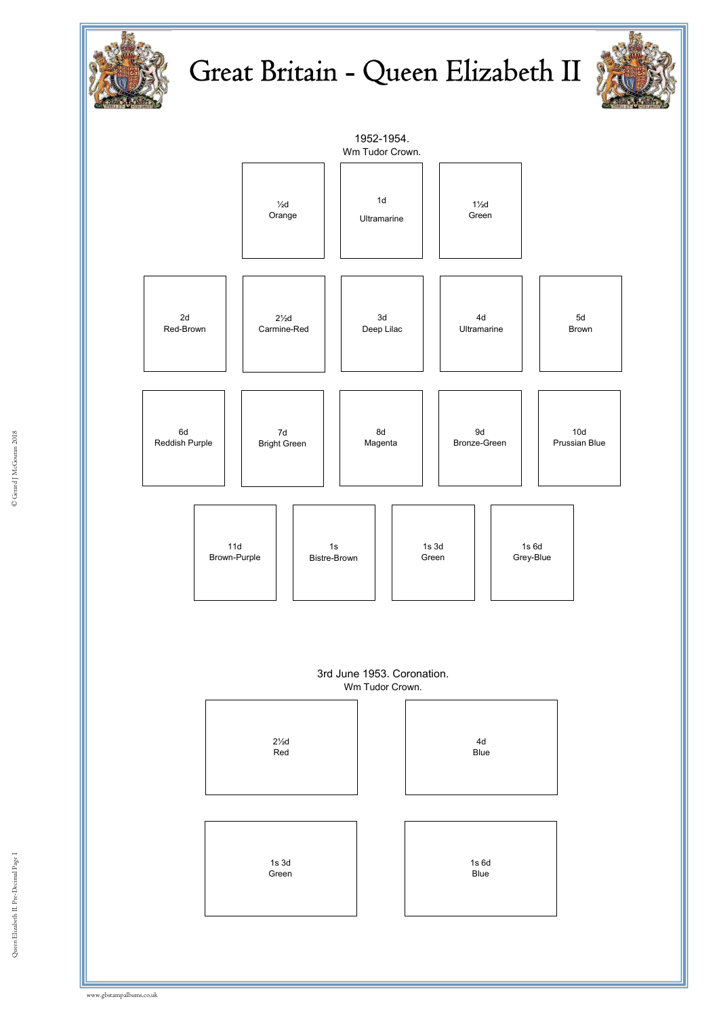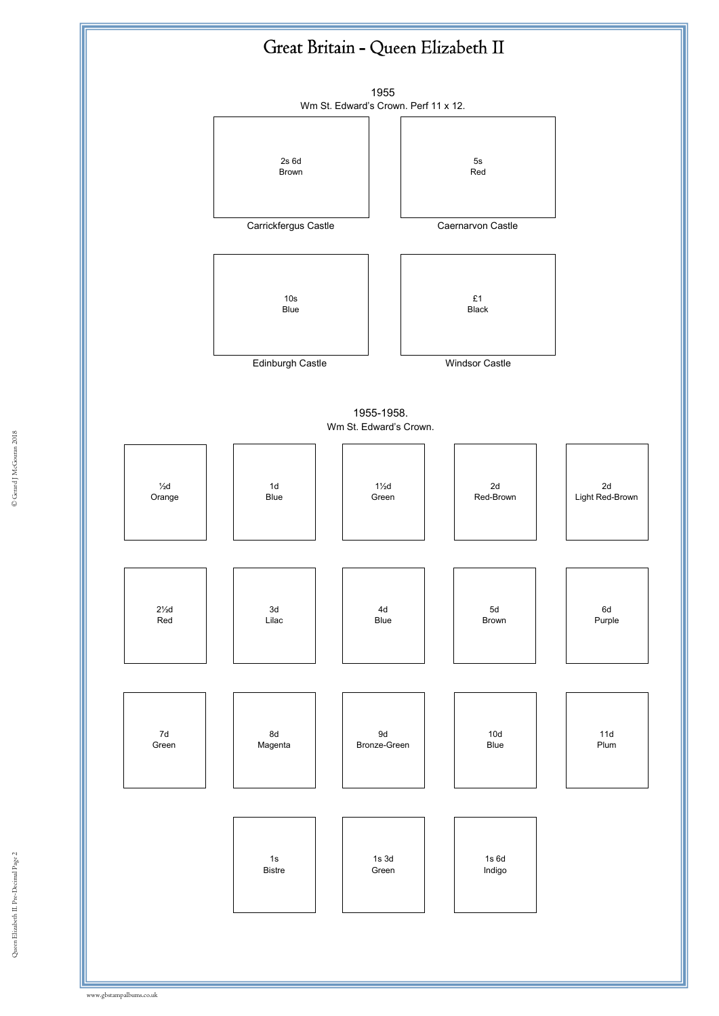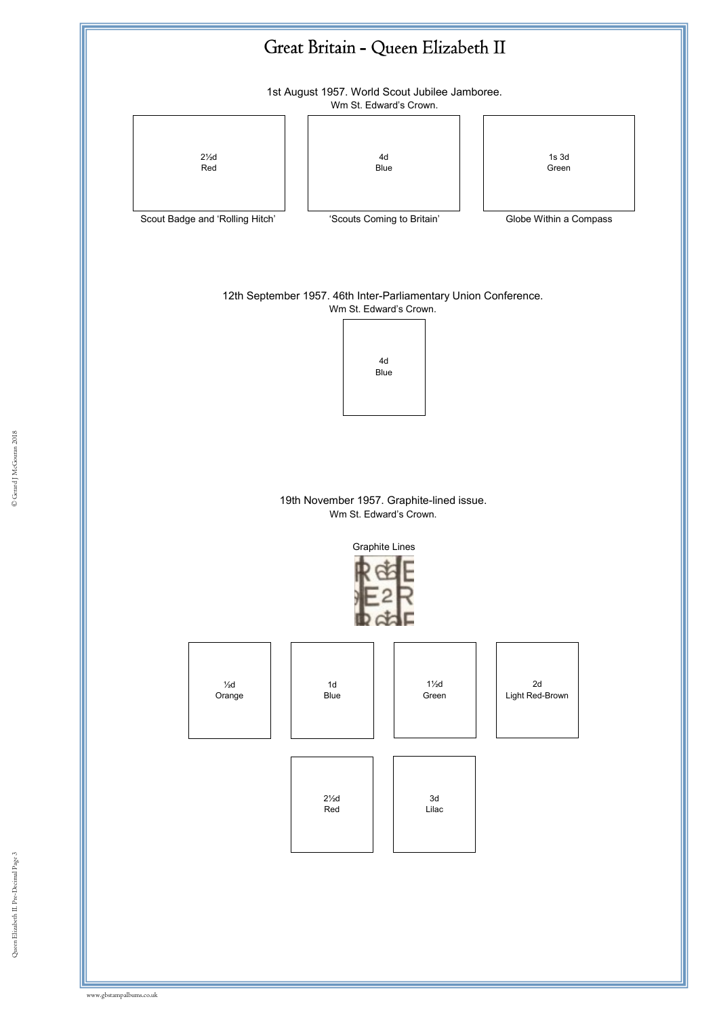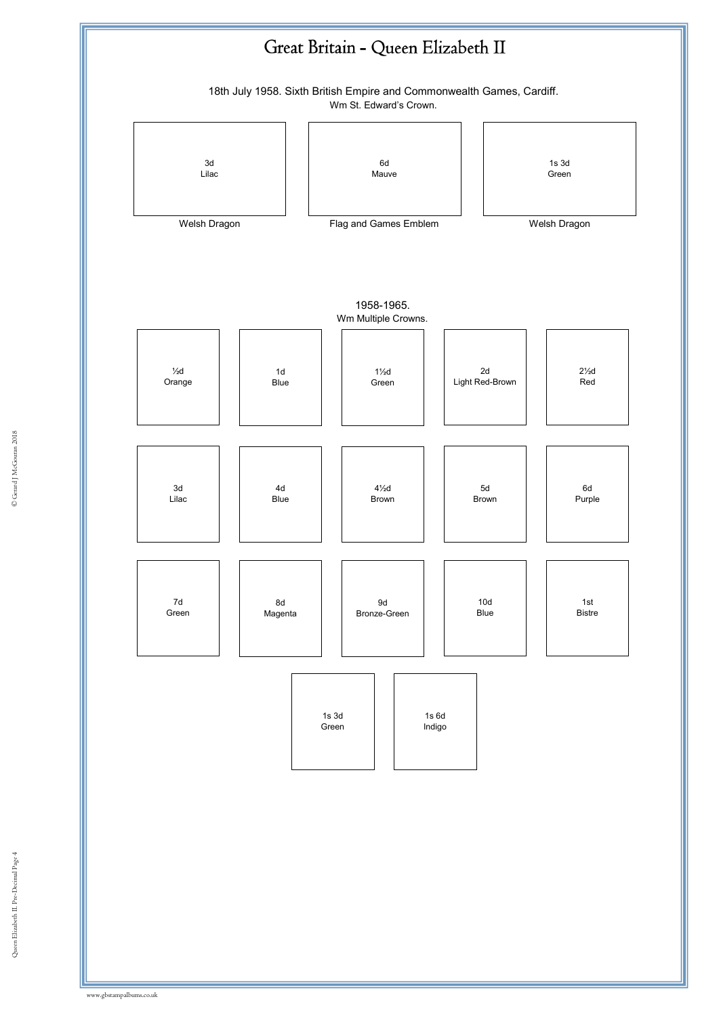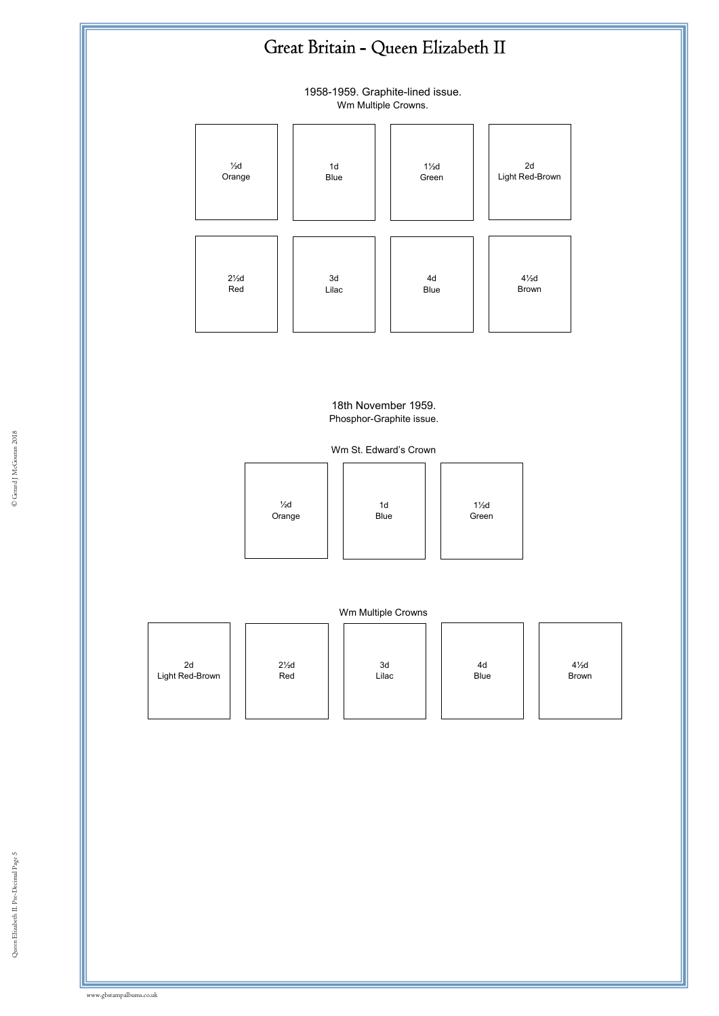1958-1959. Graphite-lined issue. Wm Multiple Crowns.



18th November 1959. Phosphor-Graphite issue.

Wm St. Edward's Crown





|  |  | 2d<br>Light Red-Brown | $2\frac{1}{2}d$<br>Red | 3d<br>Lilac | 4d<br>Blue | $4\frac{1}{2}$ d<br>Brown |
|--|--|-----------------------|------------------------|-------------|------------|---------------------------|
|--|--|-----------------------|------------------------|-------------|------------|---------------------------|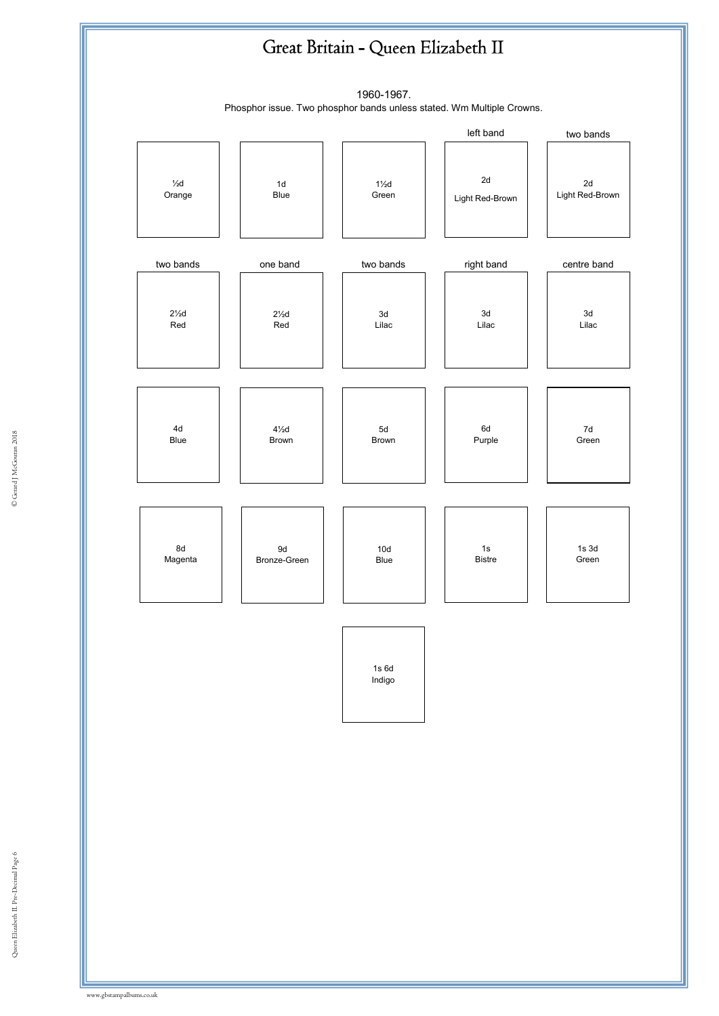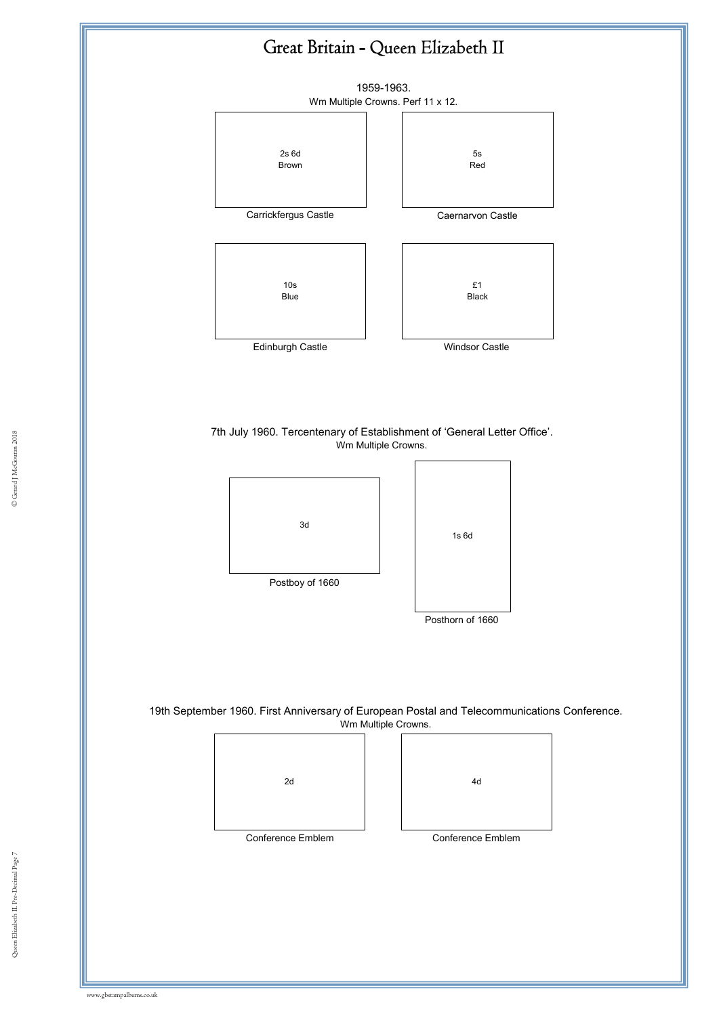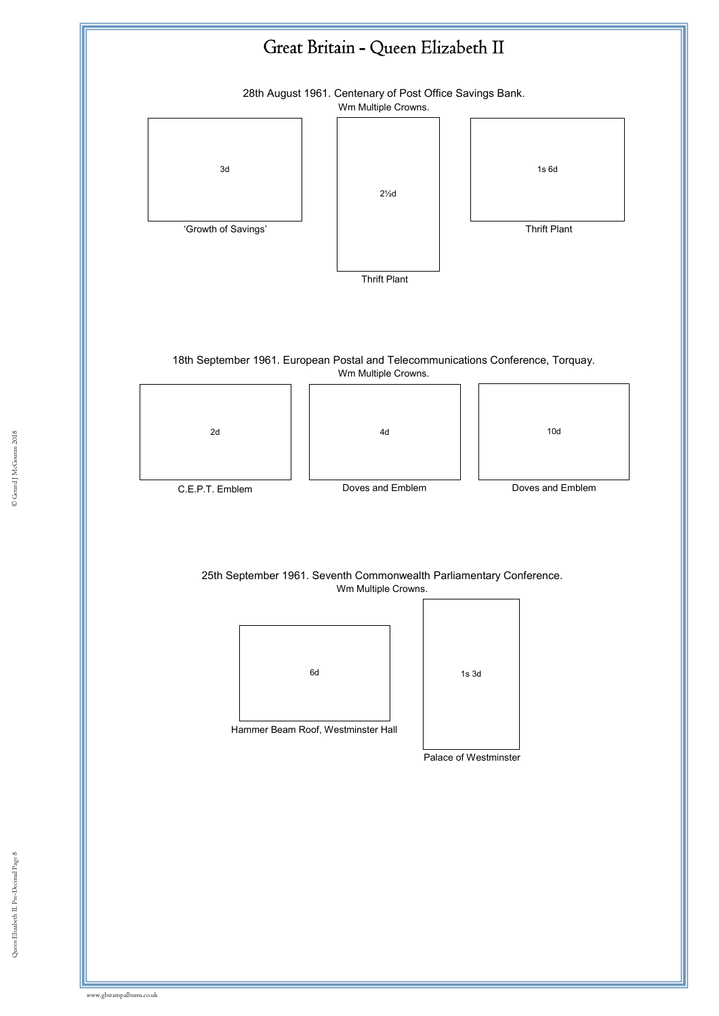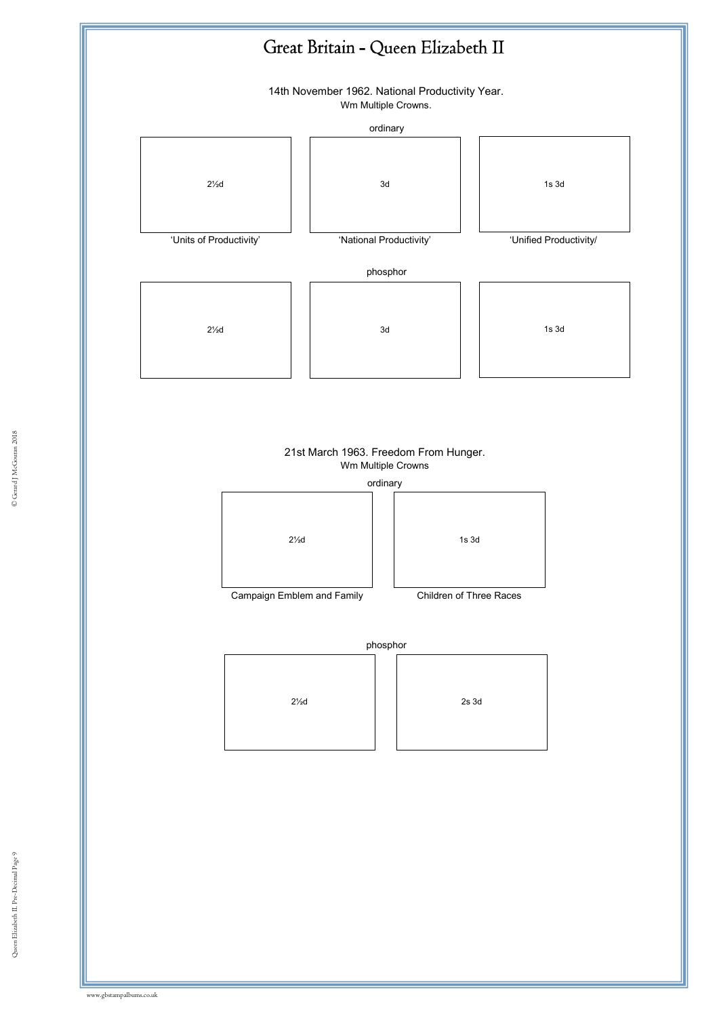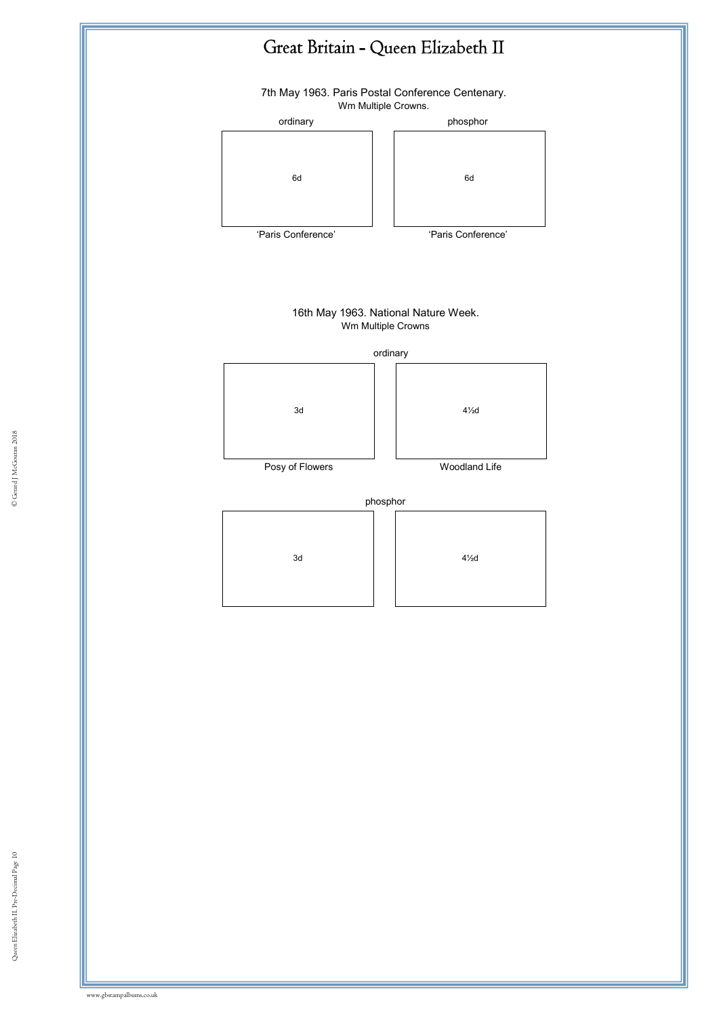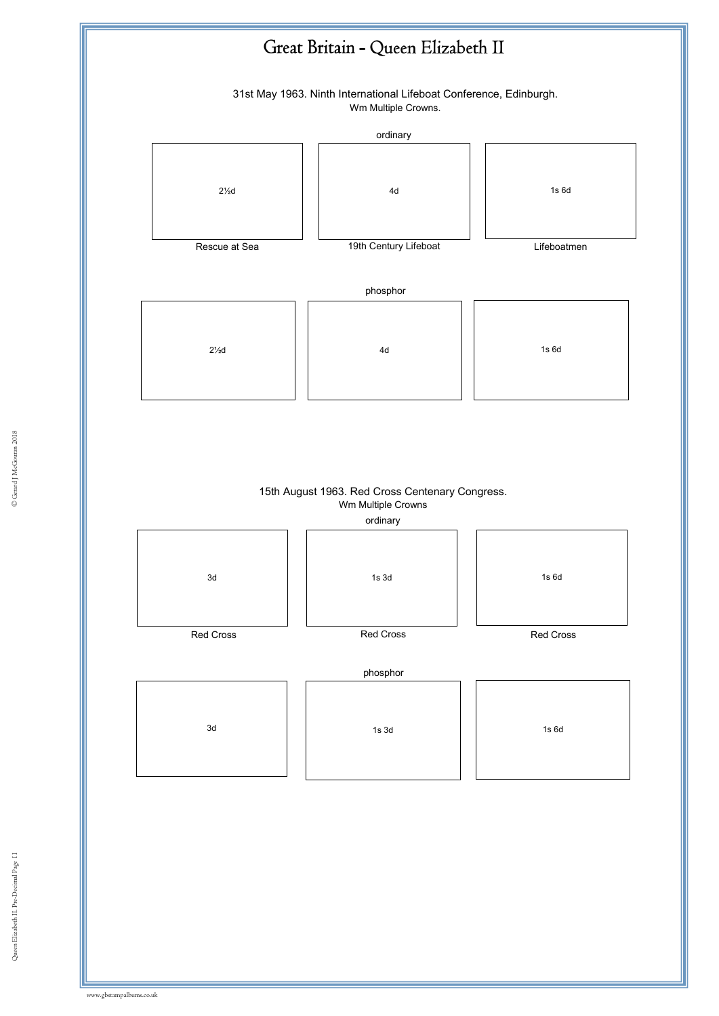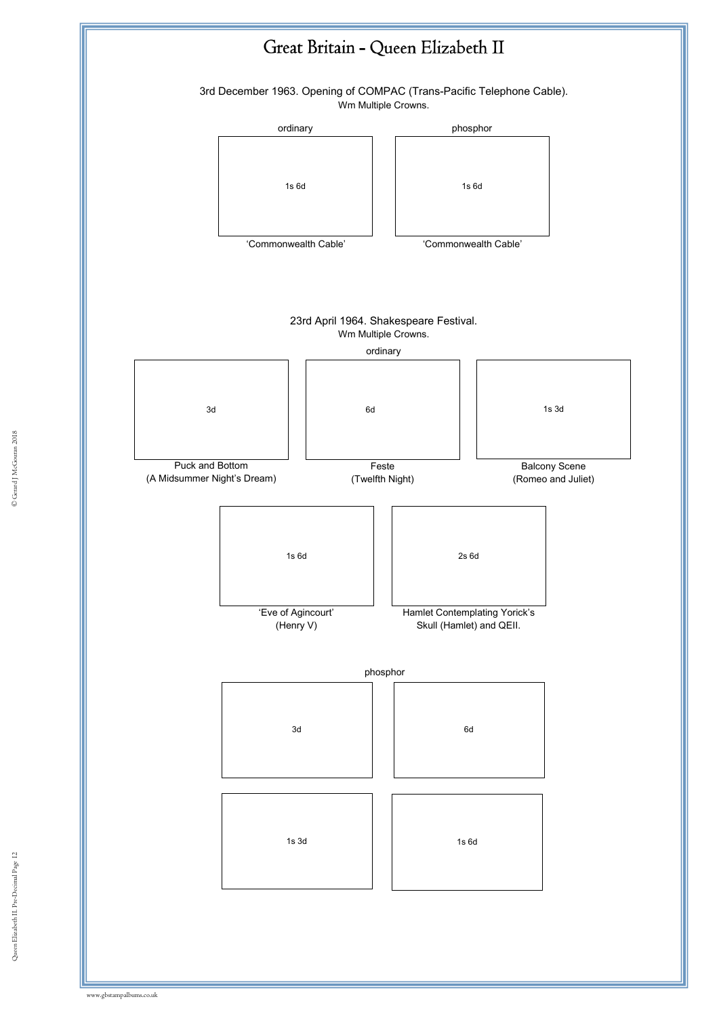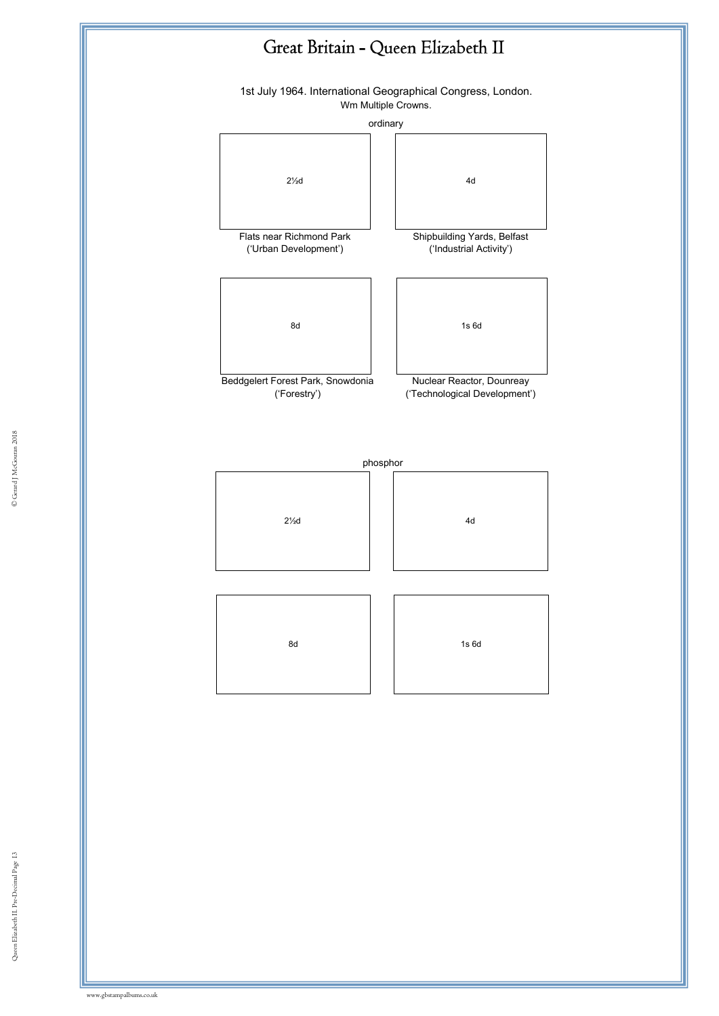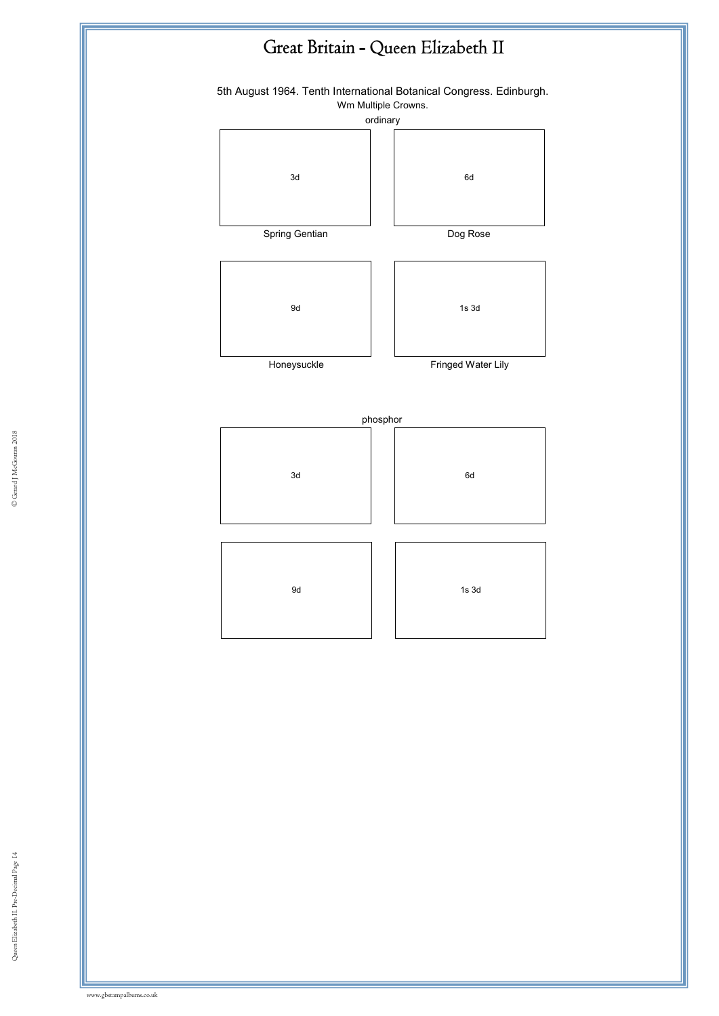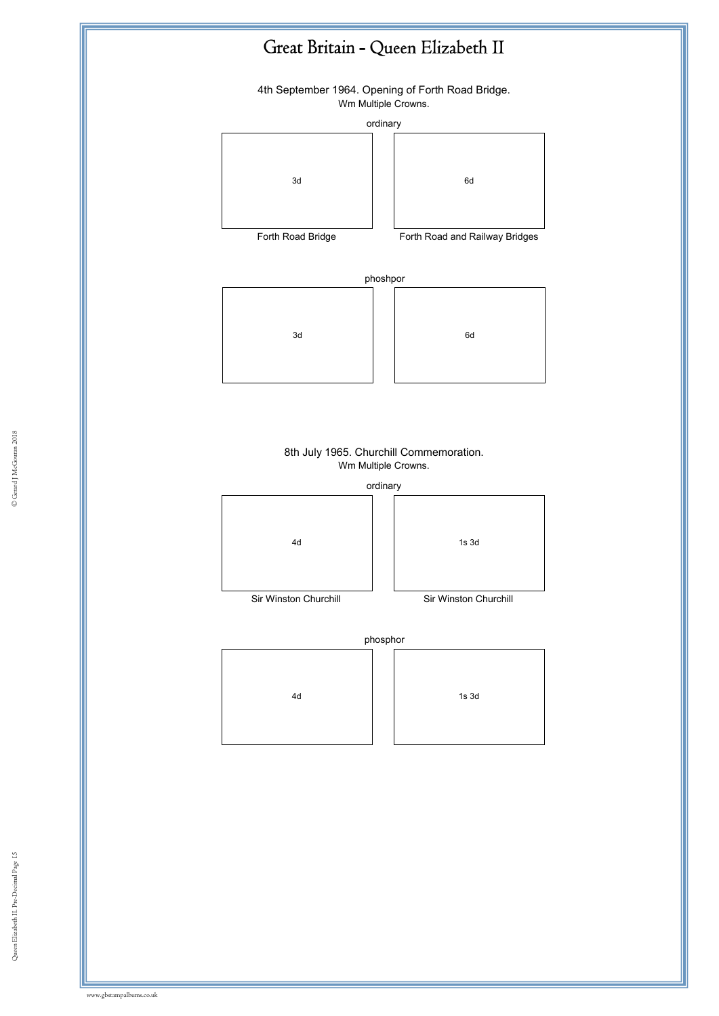4th September 1964. Opening of Forth Road Bridge. Wm Multiple Crowns.

#### ordinary





Forth Road Bridge **Forth Road and Railway Bridges** 

phoshpor





### 8th July 1965. Churchill Commemoration. Wm Multiple Crowns.





Sir Winston Churchill Sir Winston Churchill

phosphor



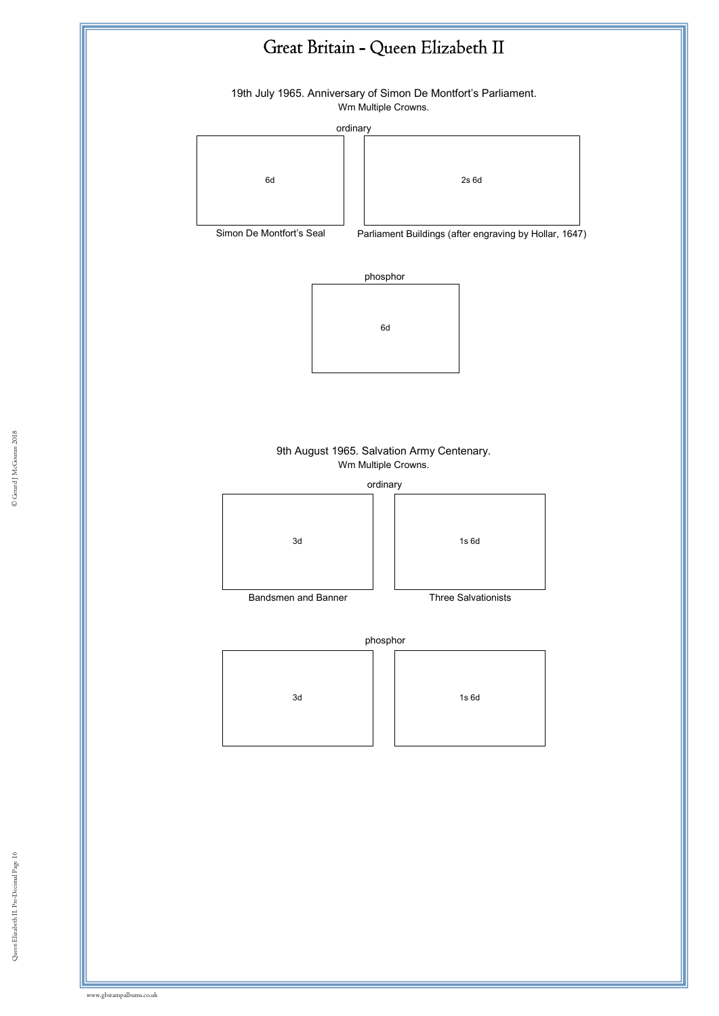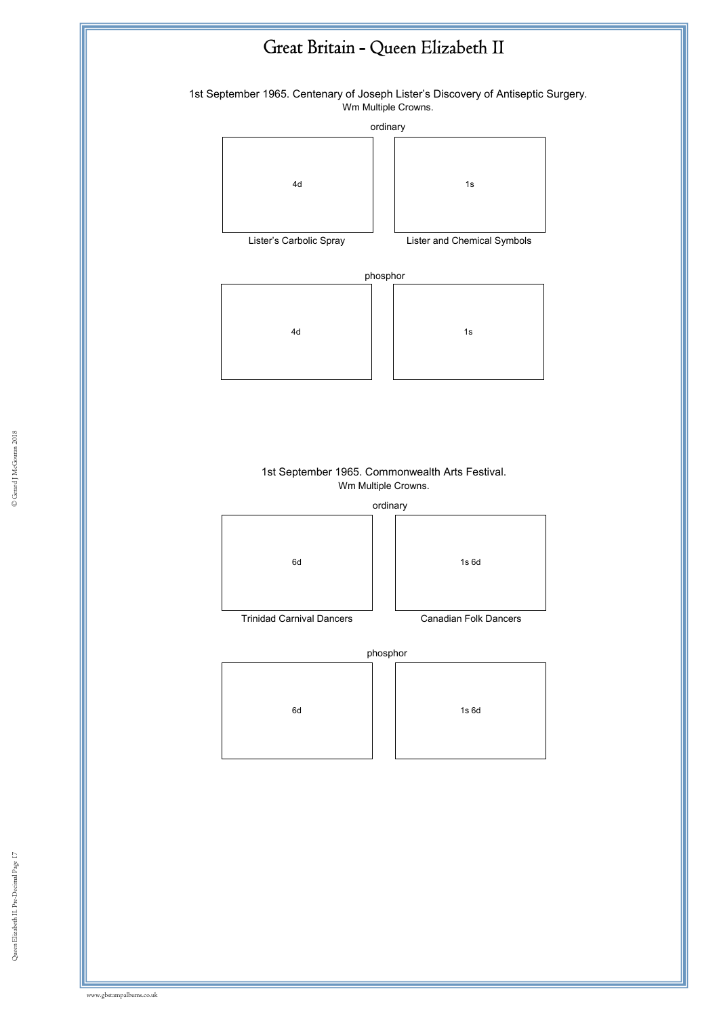

1st September 1965. Centenary of Joseph Lister's Discovery of Antiseptic Surgery. Wm Multiple Crowns.

ordinary





Lister's Carbolic Spray Lister and Chemical Symbols

phosphor



#### Ist ocpic mbcr 1909. Commonwealth Arts Festival.<br>Wm Multiple Crowns. 1st September 1965. Commonwealth Arts Festival.

ordinary



Trinidad Carnival Dancers Canadian Folk Dancers





© Gerard J McGouran 2018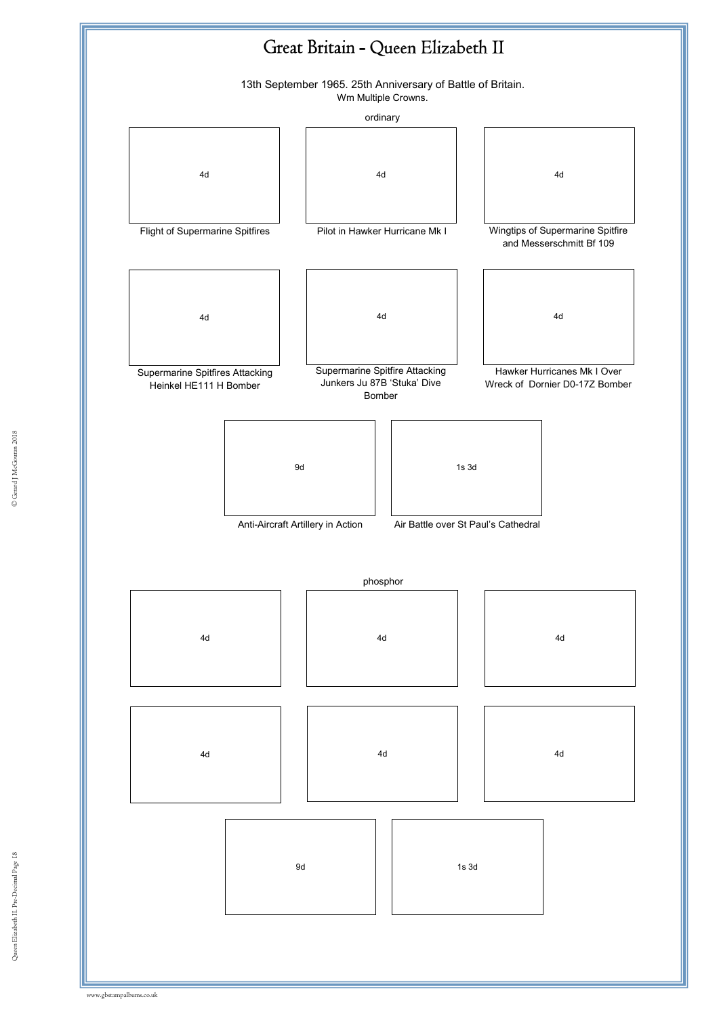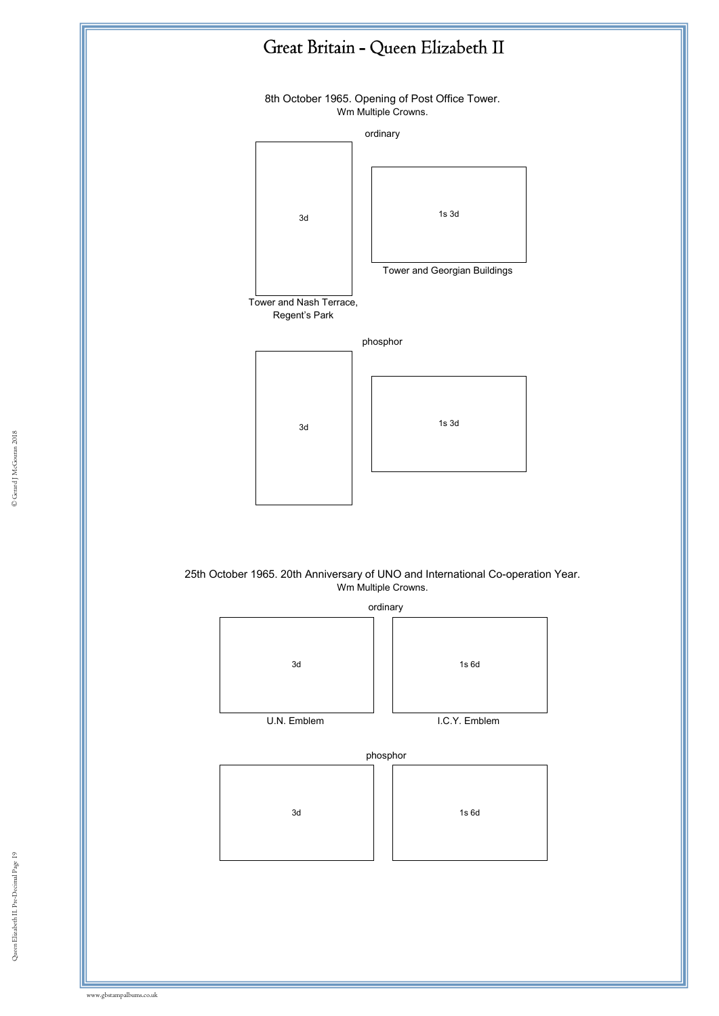









Queen Elizabeth II. Pre-Decimal Page 19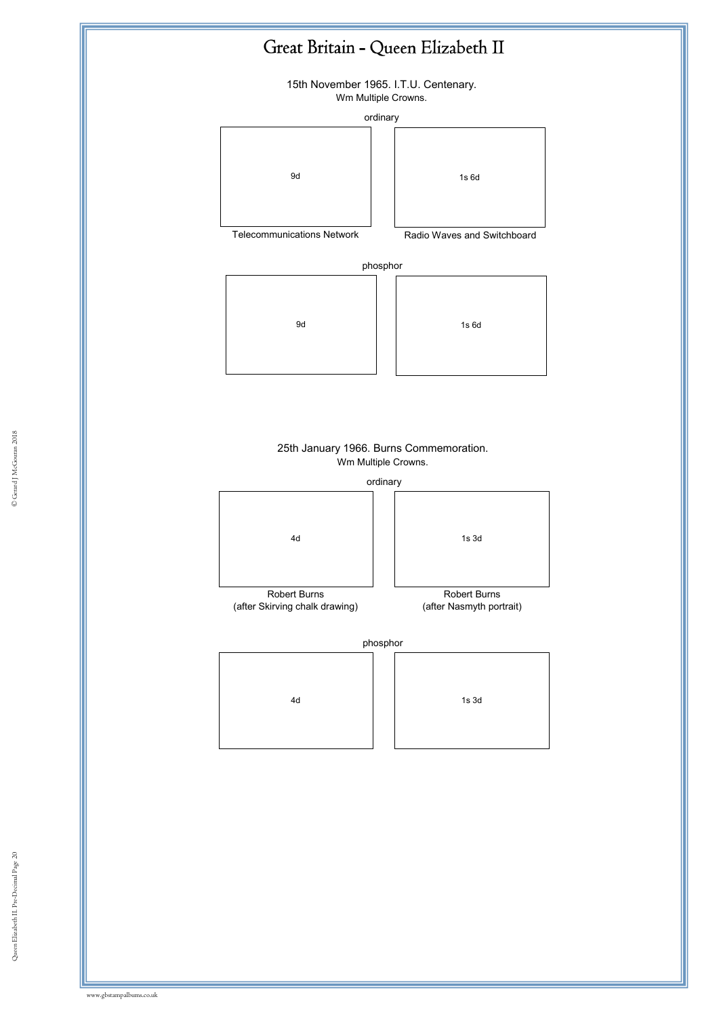15th November 1965. I.T.U. Centenary. Wm Multiple Crowns.

ordinary





Telecommunications Network Radio Waves and Switchboard

phosphor





#### 25th January 1966. Burns Commemoration. Wm Multiple Crowns.

|                                     | ordinary            |
|-------------------------------------|---------------------|
| 4d                                  | $1s$ $3d$           |
| <b>Robert Burns</b><br>$\mathbf{r}$ | <b>Robert Burns</b> |

(after Skirving chalk drawing)



phosphor

| 4d |
|----|
|    |
|    |

| 4d |  | $1s$ $3d$ |
|----|--|-----------|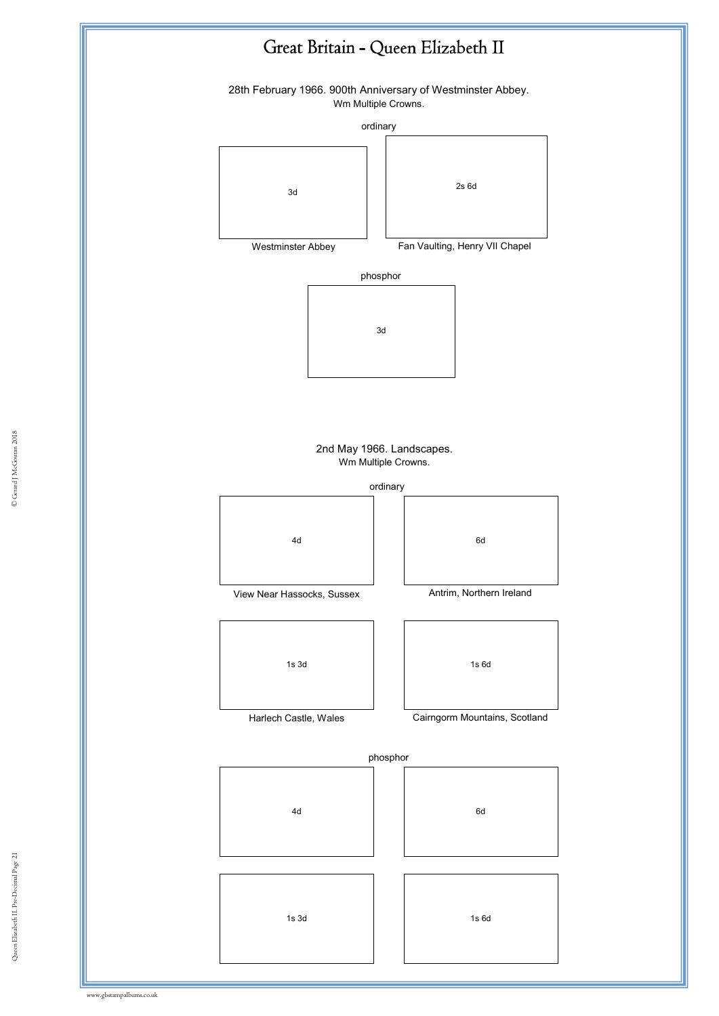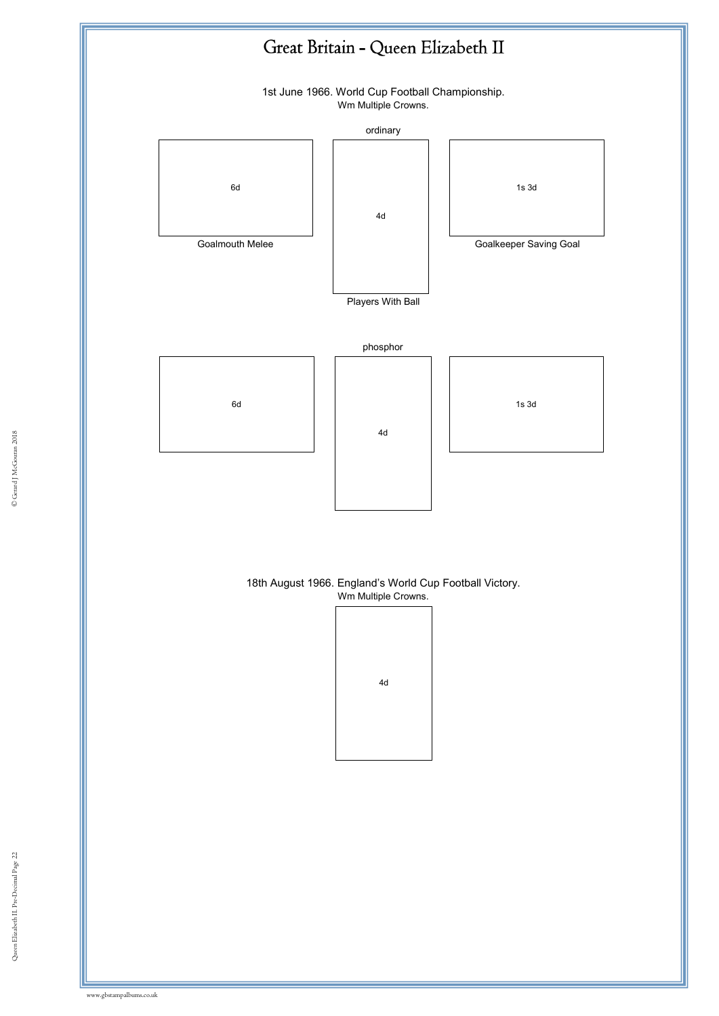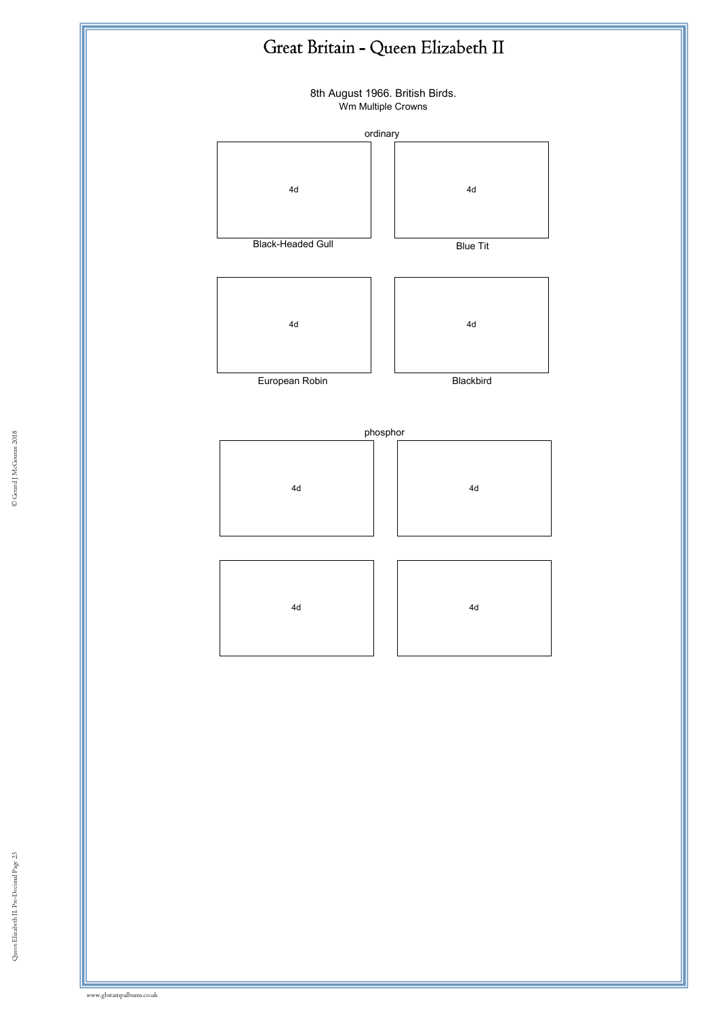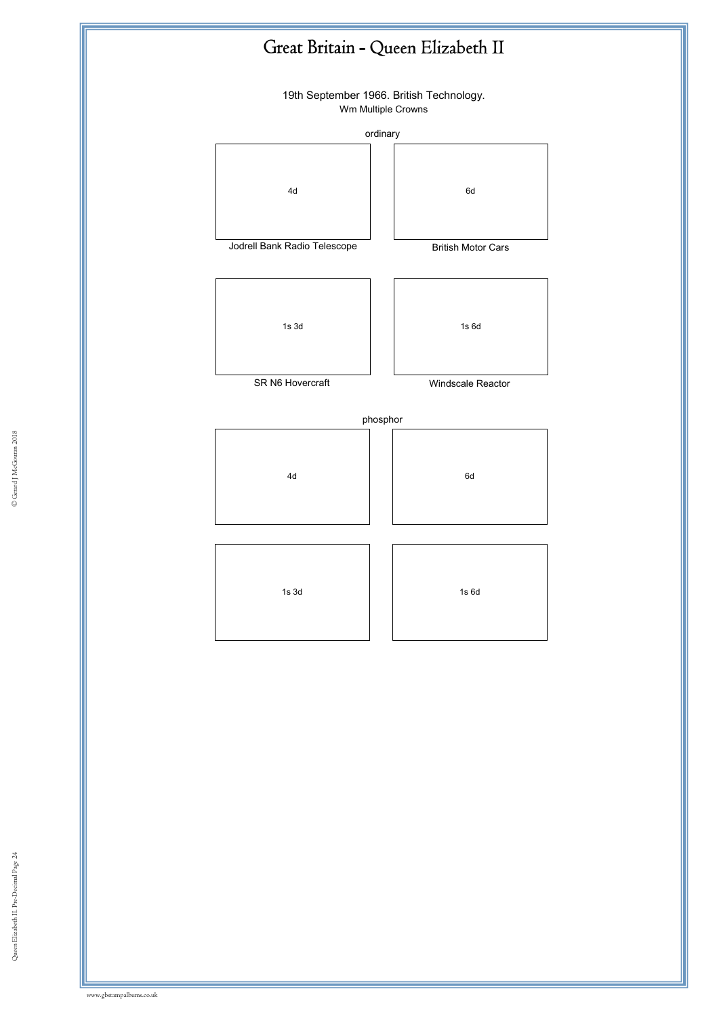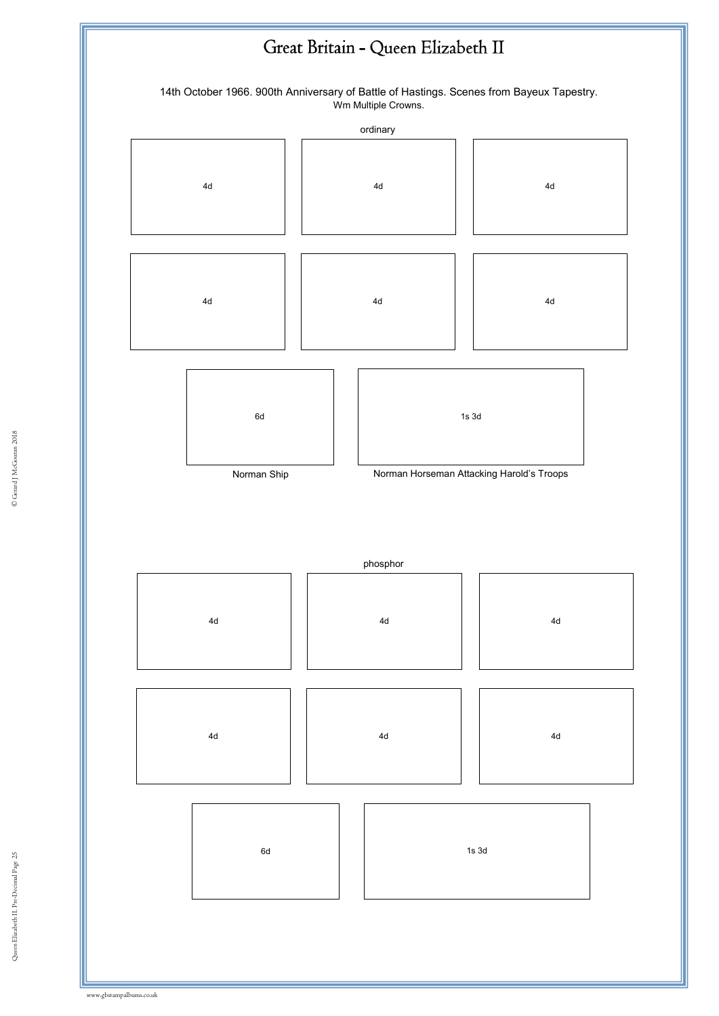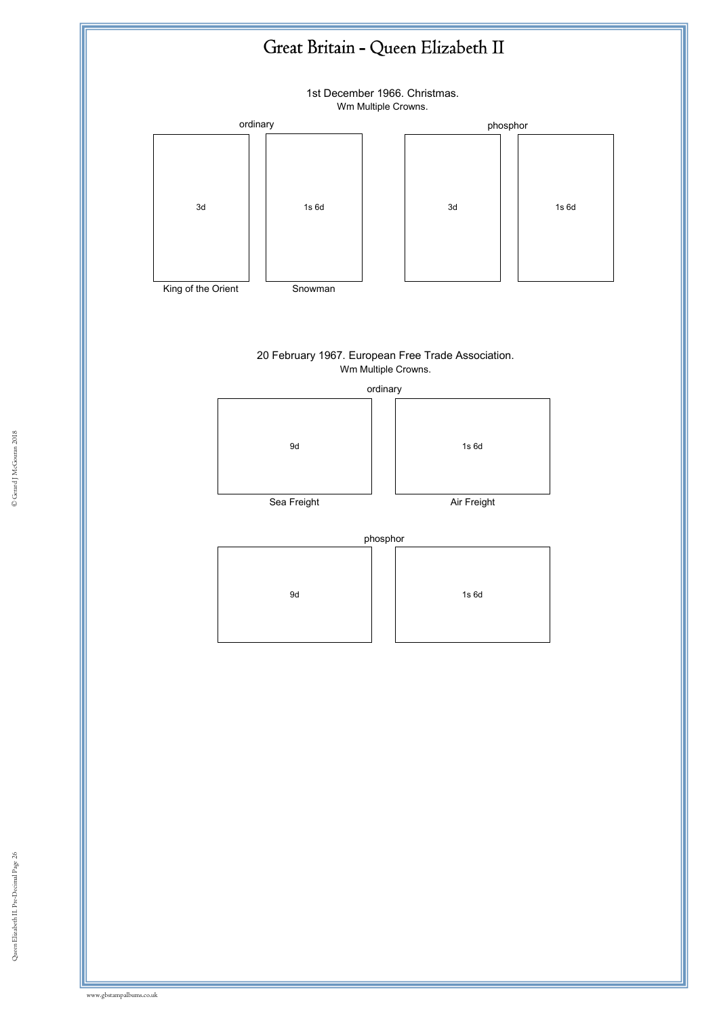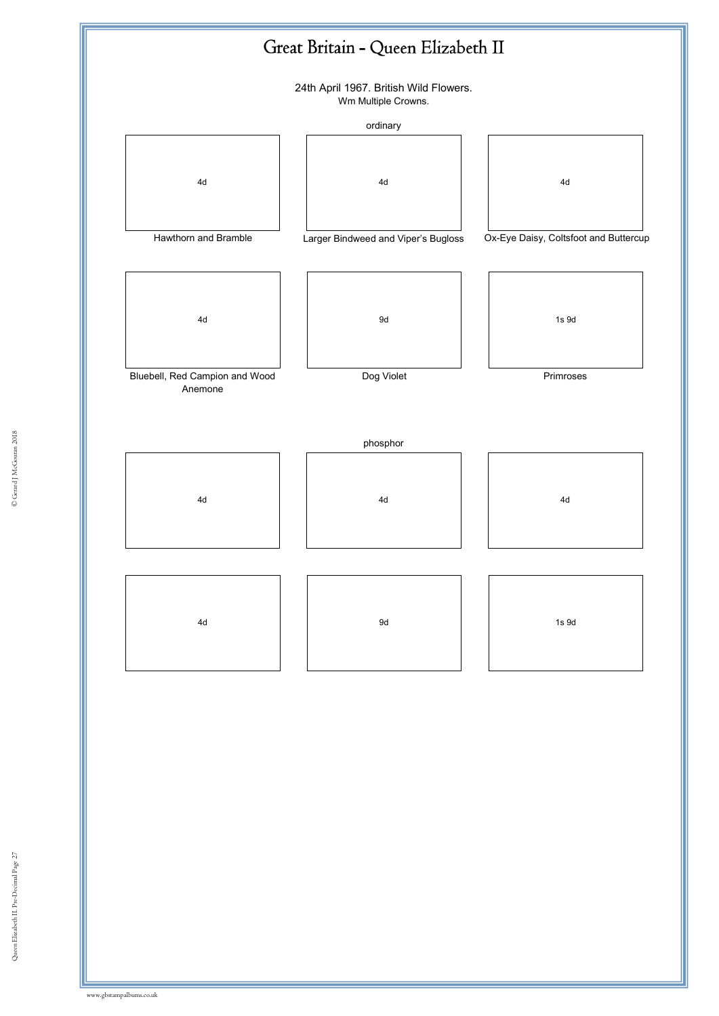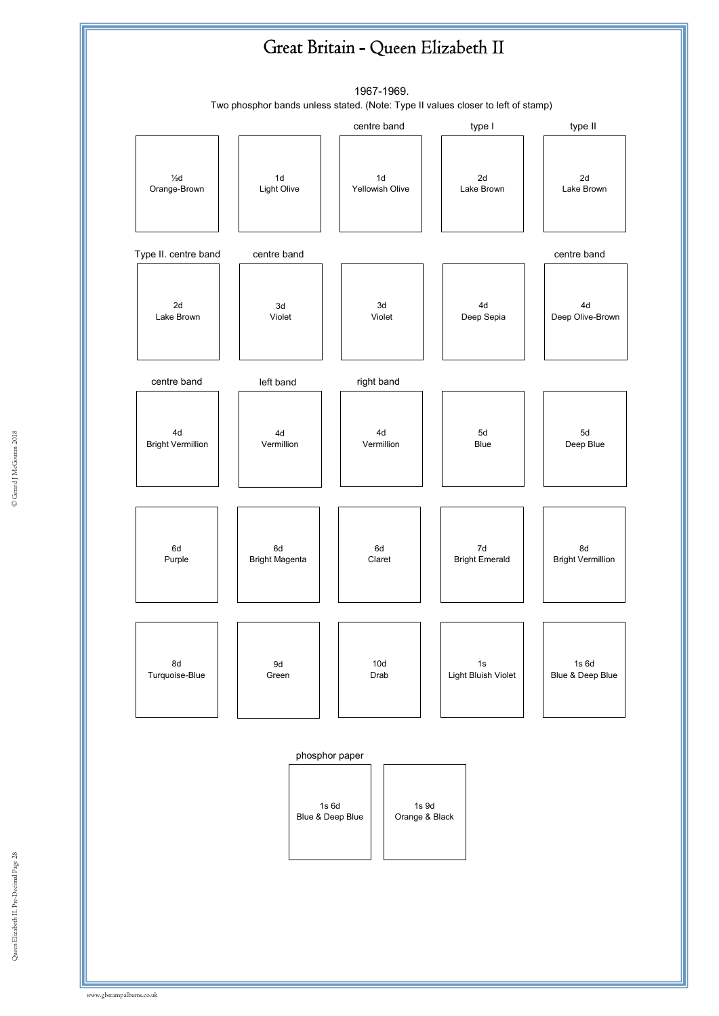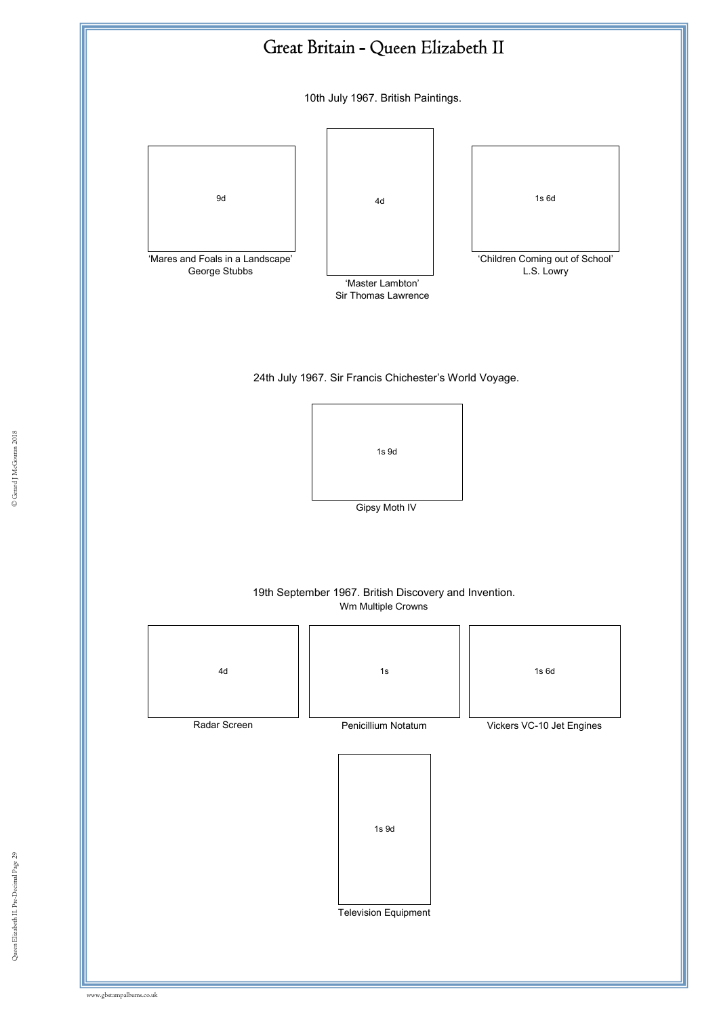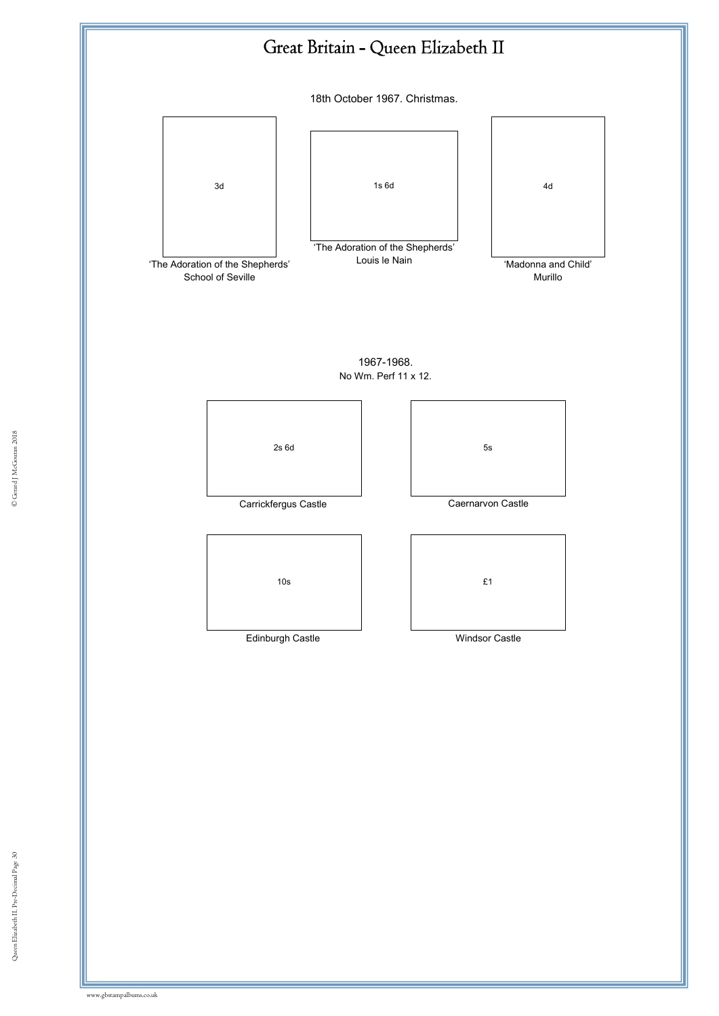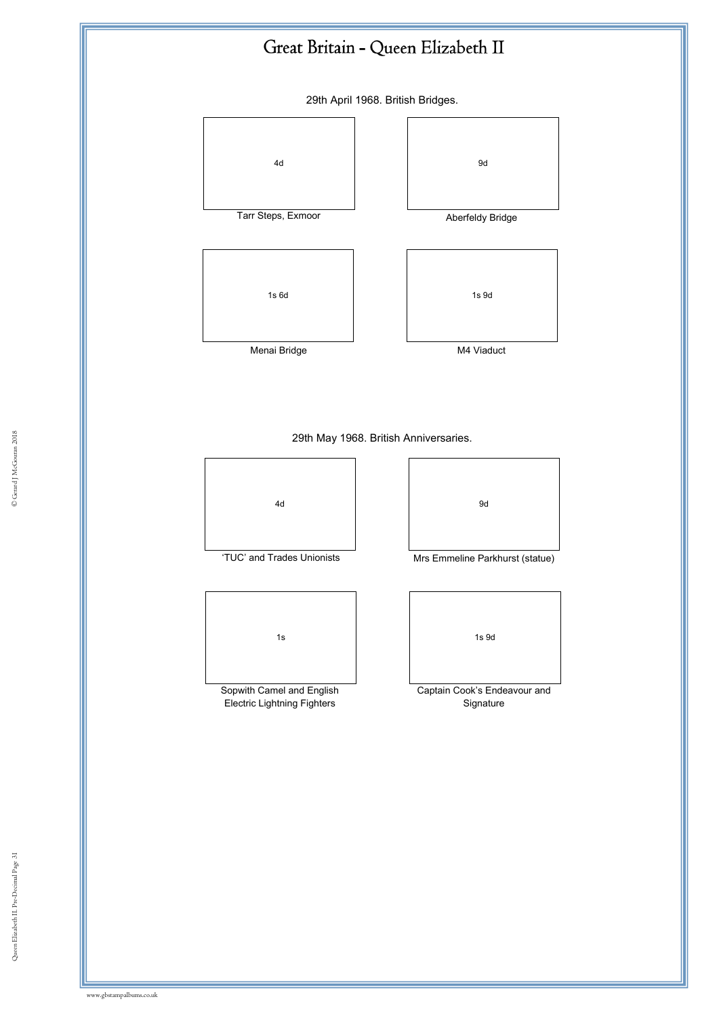29th April 1968. British Bridges.



e Gerard 29th May 1968. British Anniversaries.<br>————————————————————





'TUC' and Trades Unionists Mrs Emmeline Parkhurst (statue)



Sopwith Camel and English Electric Lightning Fighters



Captain Cook's Endeavour and Signature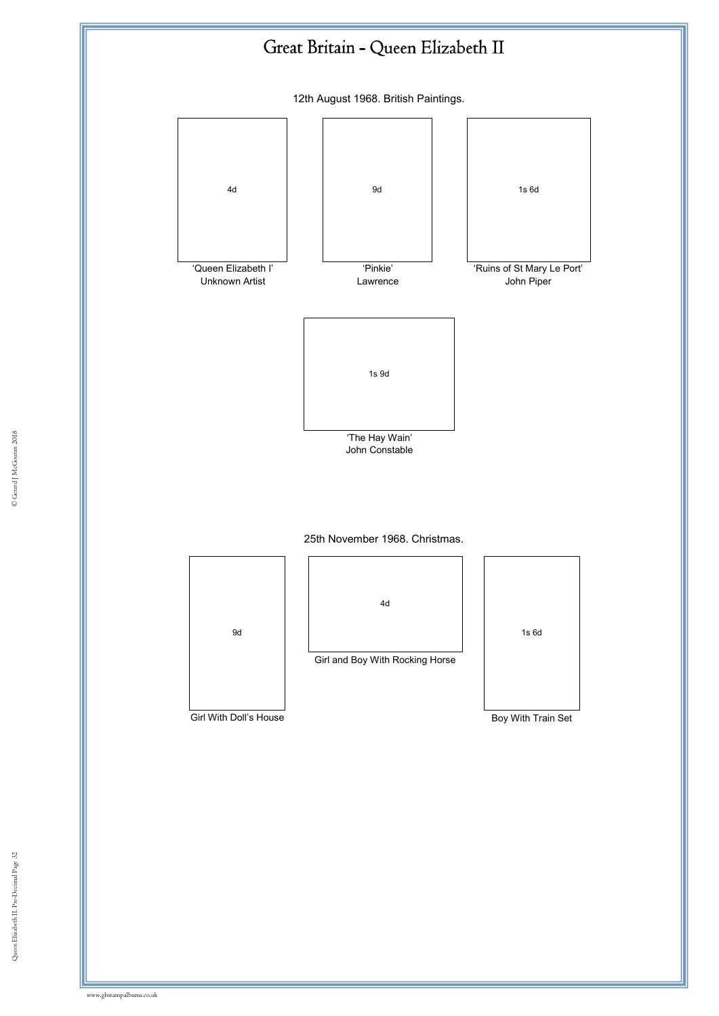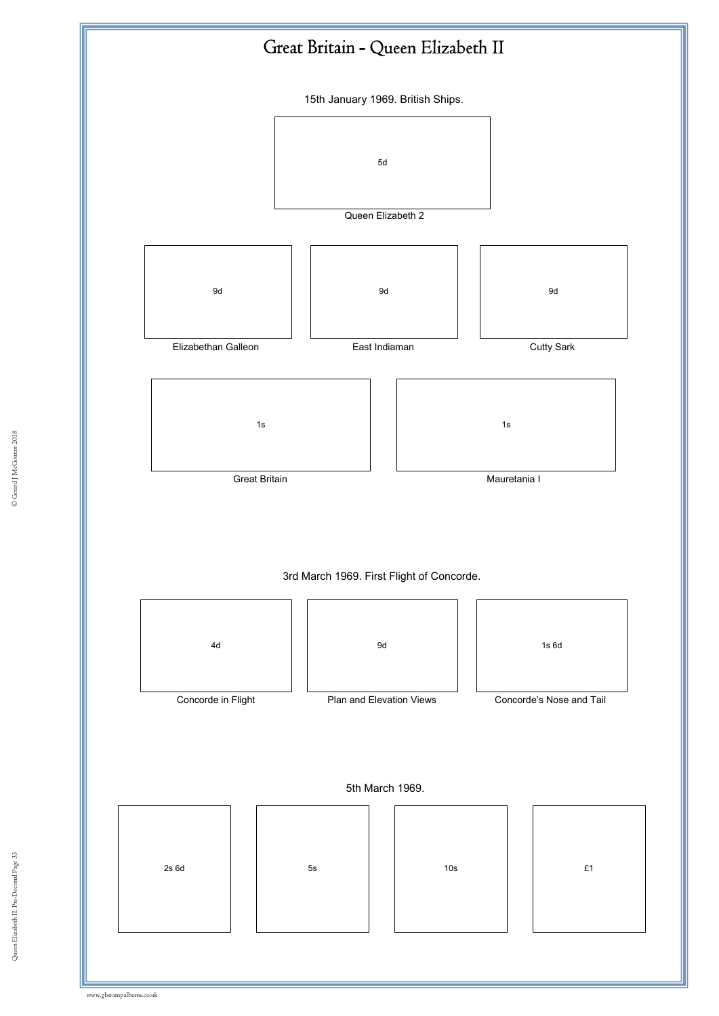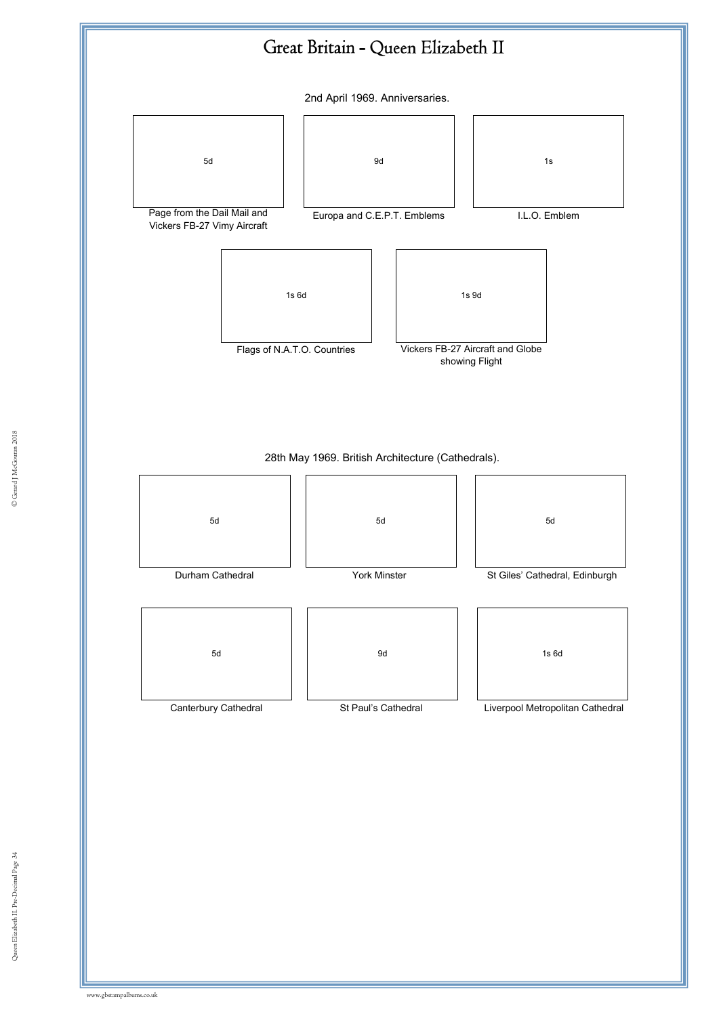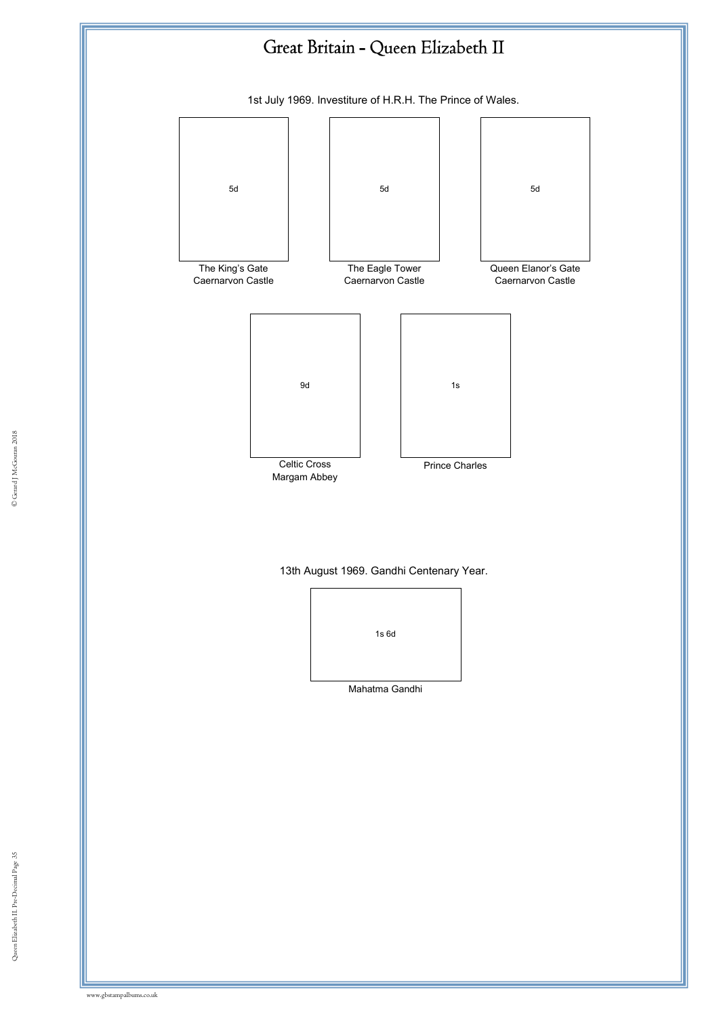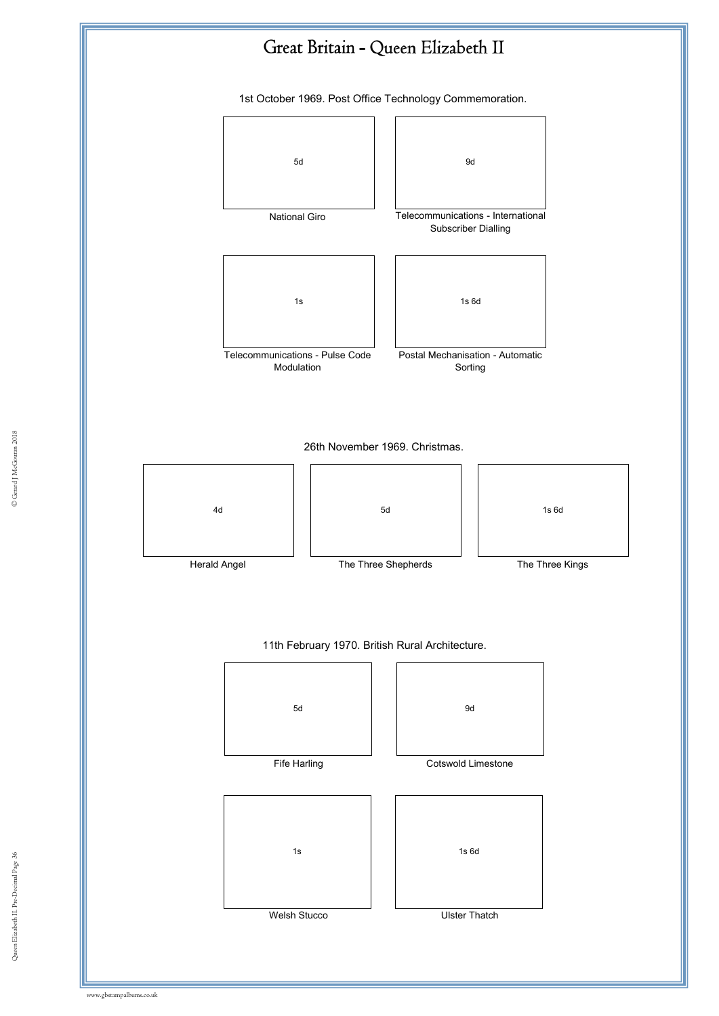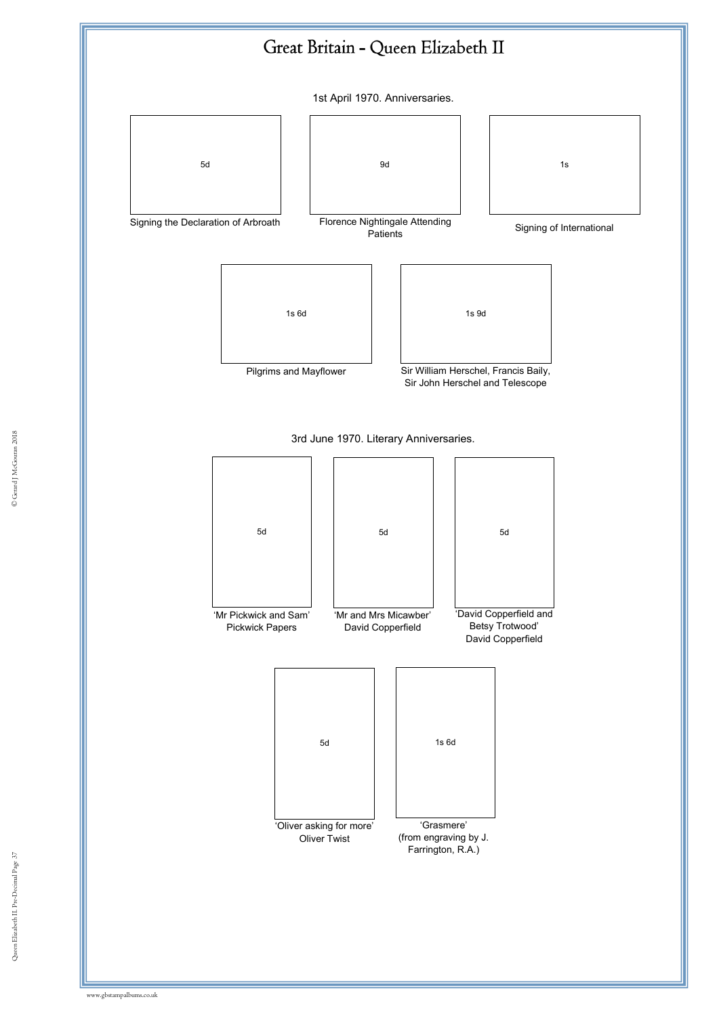